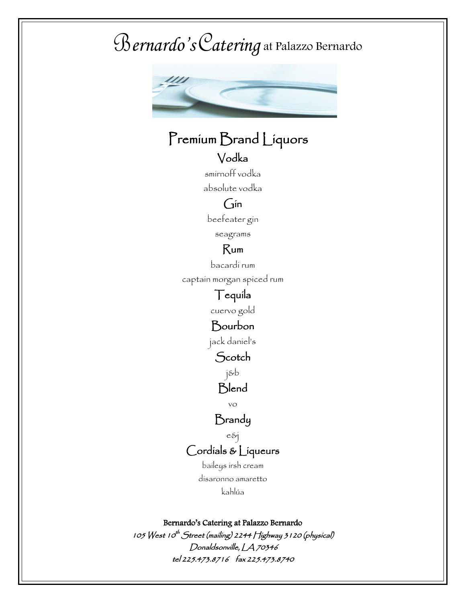# Bernardo's Catering B*ernardo's*C*atering* at Palazzo Bernardo



## Premium Brand Liquors

#### Vodka smirnoff vodka

absolute vodka

### Gin

beefeater gin

seagrams

#### Rum

bacardi rum

captain morgan spiced rum

## Tequila

cuervo gold

#### Bourbon

jack daniel's

Scotch

j&b

### **Blend**

vo

#### Brandy

e&j Cordials & Liqueurs

> baileys irsh cream disaronno amaretto kahlúa

Bernardo's Catering at Palazzo Bernardo

105 West 10<sup>th</sup> Street (mailing) 2244 Highway 3 1 20 (physical) Donaldsonville, LA 70346 tel 225.473.8716 fax 225.473.8740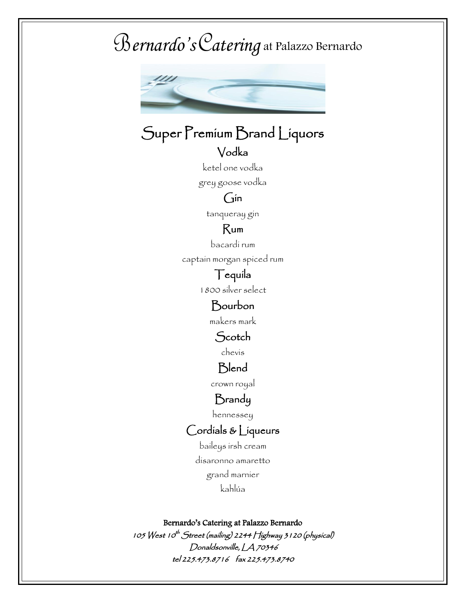# Bernardo's Catering B*ernardo's*C*atering* at Palazzo Bernardo



## Super Premium Brand Liquors

#### Vodka

ketel one vodka

grey goose vodka

#### $G$ in

tanqueray gin

#### Rum

bacardi rum

captain morgan spiced rum

#### Tequila

1800 silver select

### Bourbon

makers mark

#### **Scotch**

chevis

#### **Blend**

crown royal

#### Brandy

hennessey

#### Cordials & Liqueurs

baileys irsh cream disaronno amaretto grand marnier kahlúa

#### Bernardo's Catering at Palazzo Bernardo

105 West 10<sup>th</sup> Street (mailing) 2244 Highway 3 1 20 (physical) Donaldsonville, LA 70346 tel 225.473.8716 fax 225.473.8740